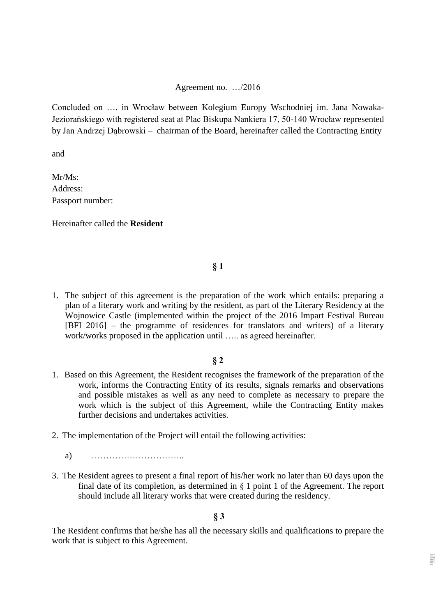#### Agreement no. …/2016

Concluded on …. in Wrocław between Kolegium Europy Wschodniej im. Jana Nowaka-Jeziorańskiego with registered seat at Plac Biskupa Nankiera 17, 50-140 Wrocław represented by Jan Andrzej Dąbrowski – chairman of the Board, hereinafter called the Contracting Entity

and

Mr/Ms: Address: Passport number:

Hereinafter called the **Resident**

**§ 1**

1. The subject of this agreement is the preparation of the work which entails: preparing a plan of a literary work and writing by the resident, as part of the Literary Residency at the Wojnowice Castle (implemented within the project of the 2016 Impart Festival Bureau [BFI 2016] – the programme of residences for translators and writers) of a literary work/works proposed in the application until ….. as agreed hereinafter.

### **§ 2**

- 1. Based on this Agreement, the Resident recognises the framework of the preparation of the work, informs the Contracting Entity of its results, signals remarks and observations and possible mistakes as well as any need to complete as necessary to prepare the work which is the subject of this Agreement, while the Contracting Entity makes further decisions and undertakes activities.
- 2. The implementation of the Project will entail the following activities:
	- a) …………………………..
- 3. The Resident agrees to present a final report of his/her work no later than 60 days upon the final date of its completion, as determined in  $\S$  1 point 1 of the Agreement. The report should include all literary works that were created during the residency.

**§ 3**

The Resident confirms that he/she has all the necessary skills and qualifications to prepare the work that is subject to this Agreement.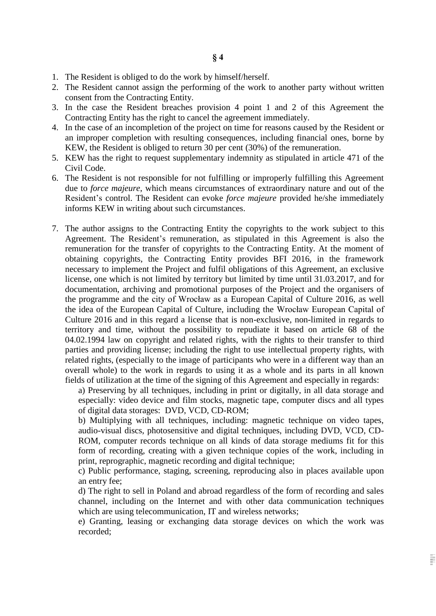- 1. The Resident is obliged to do the work by himself/herself.
- 2. The Resident cannot assign the performing of the work to another party without written consent from the Contracting Entity.
- 3. In the case the Resident breaches provision 4 point 1 and 2 of this Agreement the Contracting Entity has the right to cancel the agreement immediately.
- 4. In the case of an incompletion of the project on time for reasons caused by the Resident or an improper completion with resulting consequences, including financial ones, borne by KEW, the Resident is obliged to return 30 per cent (30%) of the remuneration.
- 5. KEW has the right to request supplementary indemnity as stipulated in article 471 of the Civil Code.
- 6. The Resident is not responsible for not fulfilling or improperly fulfilling this Agreement due to *force majeure*, which means circumstances of extraordinary nature and out of the Resident's control. The Resident can evoke *force majeure* provided he/she immediately informs KEW in writing about such circumstances.
- 7. The author assigns to the Contracting Entity the copyrights to the work subject to this Agreement. The Resident's remuneration, as stipulated in this Agreement is also the remuneration for the transfer of copyrights to the Contracting Entity. At the moment of obtaining copyrights, the Contracting Entity provides BFI 2016, in the framework necessary to implement the Project and fulfil obligations of this Agreement, an exclusive license, one which is not limited by territory but limited by time until 31.03.2017, and for documentation, archiving and promotional purposes of the Project and the organisers of the programme and the city of Wrocław as a European Capital of Culture 2016, as well the idea of the European Capital of Culture, including the Wrocław European Capital of Culture 2016 and in this regard a license that is non-exclusive, non-limited in regards to territory and time, without the possibility to repudiate it based on article 68 of the 04.02.1994 law on copyright and related rights, with the rights to their transfer to third parties and providing license; including the right to use intellectual property rights, with related rights, (especially to the image of participants who were in a different way than an overall whole) to the work in regards to using it as a whole and its parts in all known fields of utilization at the time of the signing of this Agreement and especially in regards:

a) Preserving by all techniques, including in print or digitally, in all data storage and especially: video device and film stocks, magnetic tape, computer discs and all types of digital data storages: DVD, VCD, CD-ROM;

b) Multiplying with all techniques, including: magnetic technique on video tapes, audio-visual discs, photosensitive and digital techniques, including DVD, VCD, CD-ROM, computer records technique on all kinds of data storage mediums fit for this form of recording, creating with a given technique copies of the work, including in print, reprographic, magnetic recording and digital technique;

c) Public performance, staging, screening, reproducing also in places available upon an entry fee;

d) The right to sell in Poland and abroad regardless of the form of recording and sales channel, including on the Internet and with other data communication techniques which are using telecommunication, IT and wireless networks;

e) Granting, leasing or exchanging data storage devices on which the work was recorded;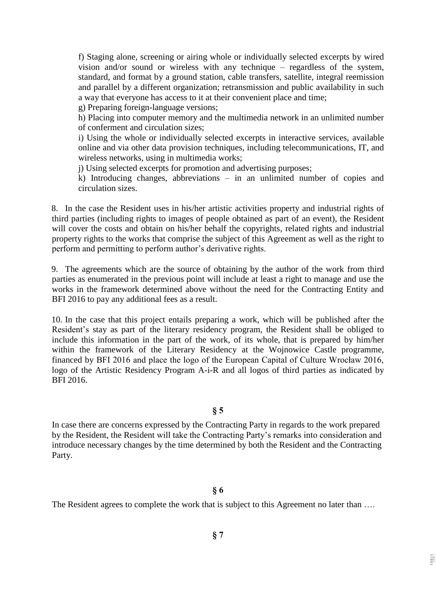f) Staging alone, screening or airing whole or individually selected excerpts by wired vision and/or sound or wireless with any technique – regardless of the system, standard, and format by a ground station, cable transfers, satellite, integral reemission and parallel by a different organization; retransmission and public availability in such a way that everyone has access to it at their convenient place and time;

g) Preparing foreign-language versions;

h) Placing into computer memory and the multimedia network in an unlimited number of conferment and circulation sizes;

i) Using the whole or individually selected excerpts in interactive services, available online and via other data provision techniques, including telecommunications, IT, and wireless networks, using in multimedia works;

j) Using selected excerpts for promotion and advertising purposes;

k) Introducing changes, abbreviations – in an unlimited number of copies and circulation sizes.

8. In the case the Resident uses in his/her artistic activities property and industrial rights of third parties (including rights to images of people obtained as part of an event), the Resident will cover the costs and obtain on his/her behalf the copyrights, related rights and industrial property rights to the works that comprise the subject of this Agreement as well as the right to perform and permitting to perform author's derivative rights.

9. The agreements which are the source of obtaining by the author of the work from third parties as enumerated in the previous point will include at least a right to manage and use the works in the framework determined above without the need for the Contracting Entity and BFI 2016 to pay any additional fees as a result.

10. In the case that this project entails preparing a work, which will be published after the Resident's stay as part of the literary residency program, the Resident shall be obliged to include this information in the part of the work, of its whole, that is prepared by him/her within the framework of the Literary Residency at the Wojnowice Castle programme, financed by BFI 2016 and place the logo of the European Capital of Culture Wrocław 2016, logo of the Artistic Residency Program A-i-R and all logos of third parties as indicated by BFI 2016.

#### **§ 5**

In case there are concerns expressed by the Contracting Party in regards to the work prepared by the Resident, the Resident will take the Contracting Party's remarks into consideration and introduce necessary changes by the time determined by both the Resident and the Contracting Party.

### **§ 6**

The Resident agrees to complete the work that is subject to this Agreement no later than ....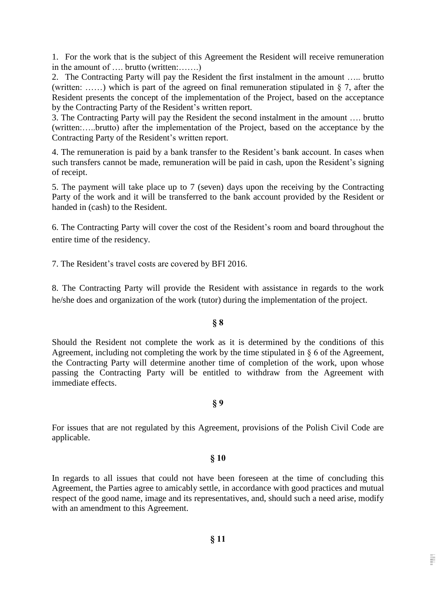1. For the work that is the subject of this Agreement the Resident will receive remuneration in the amount of …. brutto (written:…….)

2. The Contracting Party will pay the Resident the first instalment in the amount ….. brutto (written: ......) which is part of the agreed on final remuneration stipulated in  $\S$  7, after the Resident presents the concept of the implementation of the Project, based on the acceptance by the Contracting Party of the Resident's written report.

3. The Contracting Party will pay the Resident the second instalment in the amount …. brutto (written:…..brutto) after the implementation of the Project, based on the acceptance by the Contracting Party of the Resident's written report.

4. The remuneration is paid by a bank transfer to the Resident's bank account. In cases when such transfers cannot be made, remuneration will be paid in cash, upon the Resident's signing of receipt.

5. The payment will take place up to 7 (seven) days upon the receiving by the Contracting Party of the work and it will be transferred to the bank account provided by the Resident or handed in (cash) to the Resident.

6. The Contracting Party will cover the cost of the Resident's room and board throughout the entire time of the residency.

7. The Resident's travel costs are covered by BFI 2016.

8. The Contracting Party will provide the Resident with assistance in regards to the work he/she does and organization of the work (tutor) during the implementation of the project.

# **§ 8**

Should the Resident not complete the work as it is determined by the conditions of this Agreement, including not completing the work by the time stipulated in § 6 of the Agreement, the Contracting Party will determine another time of completion of the work, upon whose passing the Contracting Party will be entitled to withdraw from the Agreement with immediate effects.

### **§ 9**

For issues that are not regulated by this Agreement, provisions of the Polish Civil Code are applicable.

### **§ 10**

In regards to all issues that could not have been foreseen at the time of concluding this Agreement, the Parties agree to amicably settle, in accordance with good practices and mutual respect of the good name, image and its representatives, and, should such a need arise, modify with an amendment to this Agreement.